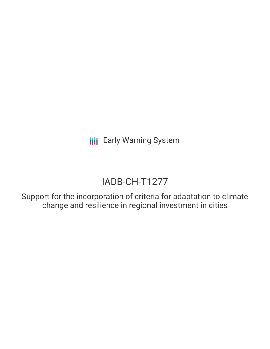**III** Early Warning System

# IADB-CH-T1277

Support for the incorporation of criteria for adaptation to climate change and resilience in regional investment in cities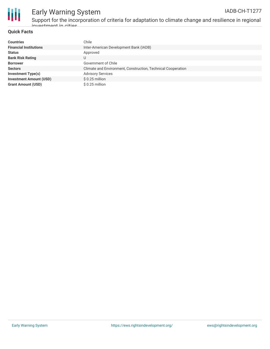

## Early Warning System

Support for the incorporation of criteria for adaptation to climate change and resilience in regional invoctmont in citios

### **Quick Facts**

| <b>Countries</b>               | Chile                                                        |
|--------------------------------|--------------------------------------------------------------|
| <b>Financial Institutions</b>  | Inter-American Development Bank (IADB)                       |
| <b>Status</b>                  | Approved                                                     |
| <b>Bank Risk Rating</b>        | U                                                            |
| <b>Borrower</b>                | Government of Chile                                          |
| <b>Sectors</b>                 | Climate and Environment, Construction, Technical Cooperation |
| Investment Type(s)             | <b>Advisory Services</b>                                     |
| <b>Investment Amount (USD)</b> | \$ 0.25 million                                              |
| <b>Grant Amount (USD)</b>      | $$0.25$ million                                              |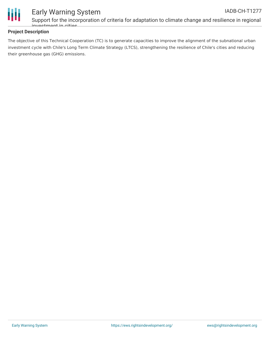



### Early Warning System

Support for the incorporation of criteria for adaptation to climate change and resilience in regional investment in cities

### **Project Description**

The objective of this Technical Cooperation (TC) is to generate capacities to improve the alignment of the subnational urban investment cycle with Chile's Long Term Climate Strategy (LTCS), strengthening the resilience of Chile's cities and reducing their greenhouse gas (GHG) emissions.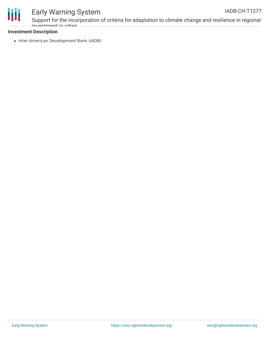

### Early Warning System

Support for the incorporation of criteria for adaptation to climate change and resilience in regional invoctmont in citios

#### **Investment Description**

• Inter-American Development Bank (IADB)